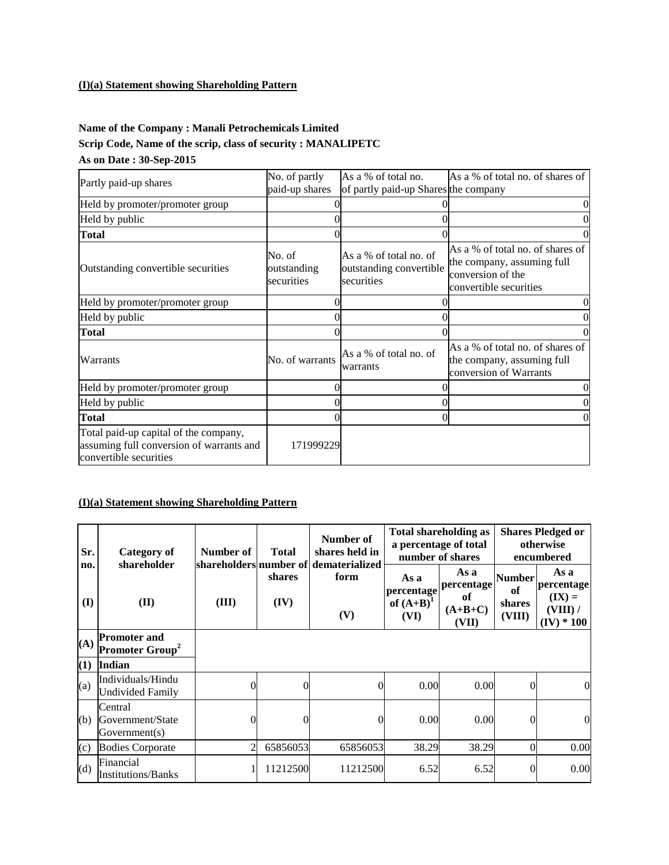### **(I)(a) Statement showing Shareholding Pattern**

# **Name of the Company : Manali Petrochemicals Limited Scrip Code, Name of the scrip, class of security : MANALIPETC As on Date : 30-Sep-2015**

| Partly paid-up shares                                                                                       | No. of partly                       | As a % of total no.                                             | As a % of total no. of shares of                                                                              |
|-------------------------------------------------------------------------------------------------------------|-------------------------------------|-----------------------------------------------------------------|---------------------------------------------------------------------------------------------------------------|
|                                                                                                             | paid-up shares                      | of partly paid-up Shares the company                            |                                                                                                               |
| Held by promoter/promoter group                                                                             |                                     |                                                                 | 0                                                                                                             |
| Held by public                                                                                              |                                     |                                                                 | 0                                                                                                             |
| <b>Total</b>                                                                                                |                                     |                                                                 |                                                                                                               |
| Outstanding convertible securities                                                                          | No. of<br>outstanding<br>securities | As a % of total no. of<br>outstanding convertible<br>securities | As a % of total no, of shares of<br>the company, assuming full<br>conversion of the<br>convertible securities |
| Held by promoter/promoter group                                                                             |                                     |                                                                 | 0                                                                                                             |
| Held by public                                                                                              |                                     |                                                                 |                                                                                                               |
| <b>Total</b>                                                                                                |                                     |                                                                 |                                                                                                               |
| Warrants                                                                                                    | No. of warrants                     | As a % of total no. of<br>warrants                              | As a % of total no. of shares of<br>the company, assuming full<br>conversion of Warrants                      |
| Held by promoter/promoter group                                                                             |                                     |                                                                 |                                                                                                               |
| Held by public                                                                                              |                                     |                                                                 |                                                                                                               |
| <b>Total</b>                                                                                                |                                     |                                                                 | 0                                                                                                             |
| Total paid-up capital of the company,<br>assuming full conversion of warrants and<br>convertible securities | 171999229                           |                                                                 |                                                                                                               |

#### **(I)(a) Statement showing Shareholding Pattern**

| Sr.        | Category of<br>shareholder                               | Number of      | <b>Total</b>   | Number of<br>shares held in<br>shareholders number of dematerialized |                                            | <b>Total shareholding as</b><br>a percentage of total<br>number of shares |                                  | <b>Shares Pledged or</b><br>otherwise<br>encumbered        |
|------------|----------------------------------------------------------|----------------|----------------|----------------------------------------------------------------------|--------------------------------------------|---------------------------------------------------------------------------|----------------------------------|------------------------------------------------------------|
| no.<br>(I) | (II)                                                     | (III)          | shares<br>(IV) | form<br>(V)                                                          | As a<br>percentage<br>of $(A+B)^1$<br>(VI) | As a<br>percentage<br>of<br>$(A+B+C)$<br>(VII)                            | Number<br>of<br>shares<br>(VIII) | As a<br>percentage<br>$(IX) =$<br>(VIII) /<br>$(IV) * 100$ |
| (A)        | <b>Promoter and</b><br><b>Promoter Group<sup>2</sup></b> |                |                |                                                                      |                                            |                                                                           |                                  |                                                            |
| (1)        | <b>Indian</b>                                            |                |                |                                                                      |                                            |                                                                           |                                  |                                                            |
| (a)        | Individuals/Hindu<br><b>Undivided Family</b>             | $\Omega$       | 0              | $\theta$                                                             | 0.00                                       | 0.00                                                                      | $\theta$                         | $\overline{0}$                                             |
| (b)        | Central<br>Government/State<br>Government(s)             | $\Omega$       | 0              | $\overline{0}$                                                       | 0.00                                       | 0.00                                                                      | 0                                | $\overline{0}$                                             |
| (c)        | <b>Bodies Corporate</b>                                  | $\overline{c}$ | 65856053       | 65856053                                                             | 38.29                                      | 38.29                                                                     | 0                                | 0.00                                                       |
| (d)        | Financial<br><b>Institutions/Banks</b>                   |                | 11212500       | 11212500                                                             | 6.52                                       | 6.52                                                                      | $\theta$                         | 0.00                                                       |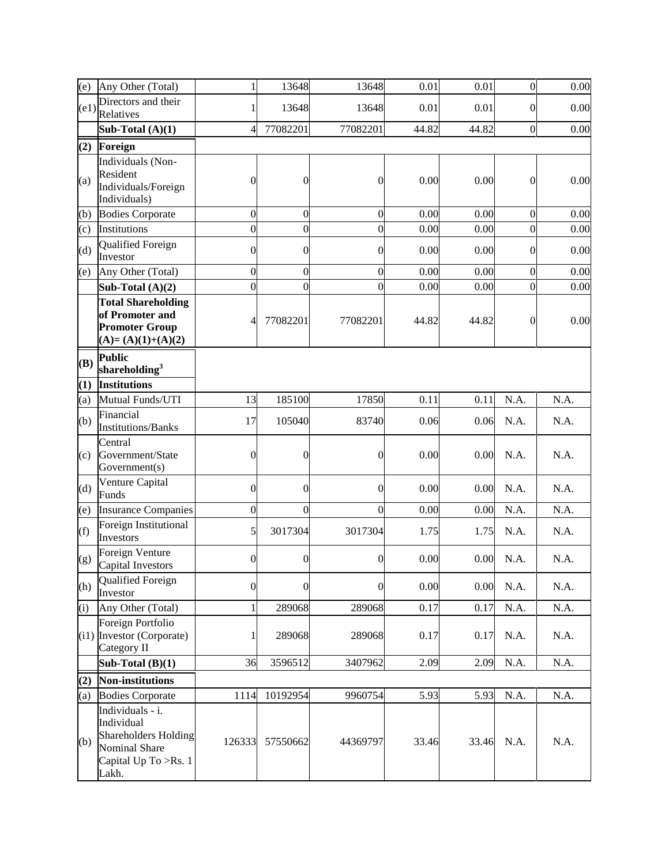| (e)  | Any Other (Total)                                                                                                      | 1                | 13648            | 13648          | 0.01  | 0.01  | $\overline{0}$   | 0.00 |
|------|------------------------------------------------------------------------------------------------------------------------|------------------|------------------|----------------|-------|-------|------------------|------|
| (e1) | Directors and their<br>Relatives                                                                                       | 1                | 13648            | 13648          | 0.01  | 0.01  | $\mathbf{0}$     | 0.00 |
|      | Sub-Total $(A)(1)$                                                                                                     | 4                | 77082201         | 77082201       | 44.82 | 44.82 | $\overline{0}$   | 0.00 |
| (2)  | Foreign                                                                                                                |                  |                  |                |       |       |                  |      |
| (a)  | Individuals (Non-<br>Resident<br>Individuals/Foreign<br>Individuals)                                                   | $\overline{0}$   | $\overline{0}$   | $\mathbf{0}$   | 0.00  | 0.00  | $\mathbf{0}$     | 0.00 |
| (b)  | <b>Bodies Corporate</b>                                                                                                | $\mathbf{0}$     | $\overline{0}$   | $\overline{0}$ | 0.00  | 0.00  | $\overline{0}$   | 0.00 |
| (c)  | Institutions                                                                                                           | $\overline{0}$   | $\overline{0}$   | $\mathbf{0}$   | 0.00  | 0.00  | $\overline{0}$   | 0.00 |
| (d)  | Qualified Foreign<br>Investor                                                                                          | $\overline{0}$   | $\overline{0}$   | $\mathbf{0}$   | 0.00  | 0.00  | $\mathbf{0}$     | 0.00 |
| (e)  | Any Other (Total)                                                                                                      | $\overline{0}$   | $\mathbf{0}$     | $\mathbf{0}$   | 0.00  | 0.00  | $\overline{0}$   | 0.00 |
|      | Sub-Total $(A)(2)$                                                                                                     | $\overline{0}$   | $\overline{0}$   | $\mathbf{0}$   | 0.00  | 0.00  | $\overline{0}$   | 0.00 |
|      | <b>Total Shareholding</b><br>of Promoter and<br><b>Promoter Group</b><br>$(A)=(A)(1)+(A)(2)$                           | 4                | 77082201         | 77082201       | 44.82 | 44.82 | $\boldsymbol{0}$ | 0.00 |
| (B)  | <b>Public</b><br>shareholding $3$                                                                                      |                  |                  |                |       |       |                  |      |
| (1)  | <b>Institutions</b>                                                                                                    |                  |                  |                |       |       |                  |      |
| (a)  | Mutual Funds/UTI                                                                                                       | 13               | 185100           | 17850          | 0.11  | 0.11  | N.A.             | N.A. |
| (b)  | Financial<br><b>Institutions/Banks</b>                                                                                 | 17               | 105040           | 83740          | 0.06  | 0.06  | N.A.             | N.A. |
| (c)  | Central<br>Government/State<br>Government(s)                                                                           | $\overline{0}$   | $\boldsymbol{0}$ | $\mathbf{0}$   | 0.00  | 0.00  | N.A.             | N.A. |
| (d)  | Venture Capital<br>Funds                                                                                               | $\overline{0}$   | $\mathbf{0}$     | $\overline{0}$ | 0.00  | 0.00  | N.A.             | N.A. |
| (e)  | <b>Insurance Companies</b>                                                                                             | $\boldsymbol{0}$ | $\mathbf{0}$     | $\mathbf{0}$   | 0.00  | 0.00  | N.A.             | N.A. |
| (f)  | Foreign Institutional<br>Investors                                                                                     | 5                | 3017304          | 3017304        | 1.75  | 1.75  | N.A.             | N.A. |
| (g)  | Foreign Venture<br>Capital Investors                                                                                   | $\boldsymbol{0}$ | $\boldsymbol{0}$ | $\mathbf{0}$   | 0.00  | 0.00  | N.A.             | N.A. |
| (h)  | Qualified Foreign<br>Investor                                                                                          | $\overline{0}$   | $\overline{0}$   | $\overline{0}$ | 0.00  | 0.00  | N.A.             | N.A. |
| (i)  | Any Other (Total)                                                                                                      | 1                | 289068           | 289068         | 0.17  | 0.17  | N.A.             | N.A. |
|      | Foreign Portfolio<br>(i1) Investor (Corporate)<br>Category II                                                          | 1                | 289068           | 289068         | 0.17  | 0.17  | N.A.             | N.A. |
|      | Sub-Total $(B)(1)$                                                                                                     | 36               | 3596512          | 3407962        | 2.09  | 2.09  | N.A.             | N.A. |
| (2)  | Non-institutions                                                                                                       |                  |                  |                |       |       |                  |      |
| (a)  | <b>Bodies Corporate</b>                                                                                                | 1114             | 10192954         | 9960754        | 5.93  | 5.93  | N.A.             | N.A. |
| (b)  | Individuals - i.<br>Individual<br><b>Shareholders Holding</b><br><b>Nominal Share</b><br>Capital Up To >Rs. 1<br>Lakh. | 126333           | 57550662         | 44369797       | 33.46 | 33.46 | N.A.             | N.A. |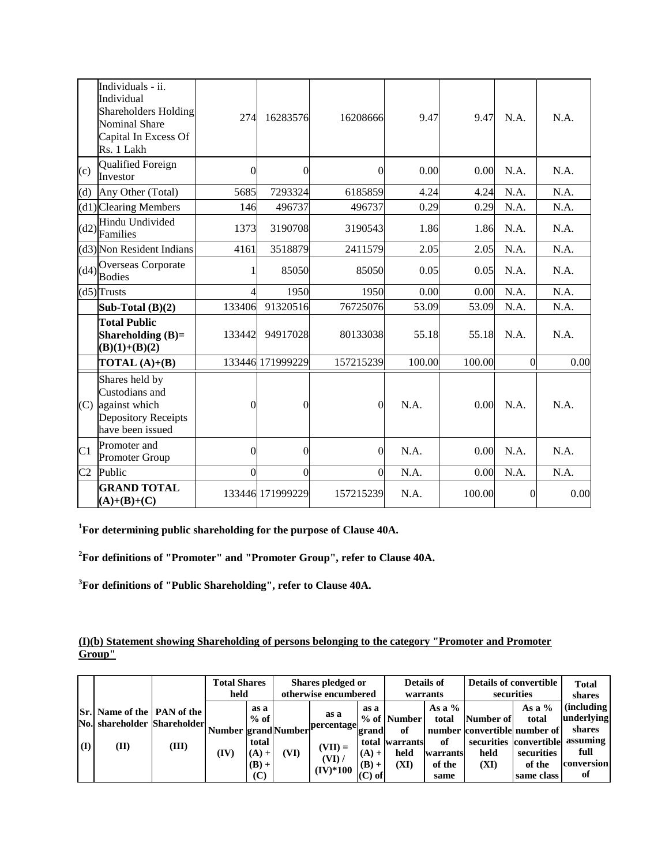|                | Individuals - ii.<br>Individual<br><b>Shareholders Holding</b><br><b>Nominal Share</b><br>Capital In Excess Of<br>Rs. 1 Lakh | 274      | 16283576         | 16208666       | 9.47   | 9.47   | N.A.           | N.A. |
|----------------|------------------------------------------------------------------------------------------------------------------------------|----------|------------------|----------------|--------|--------|----------------|------|
| (c)            | <b>Qualified Foreign</b><br>Investor                                                                                         | 0        | $\overline{0}$   | $\overline{0}$ | 0.00   | 0.00   | N.A.           | N.A. |
| (d)            | Any Other (Total)                                                                                                            | 5685     | 7293324          | 6185859        | 4.24   | 4.24   | N.A.           | N.A. |
|                | $(d1)$ Clearing Members                                                                                                      | 146      | 496737           | 496737         | 0.29   | 0.29   | N.A.           | N.A. |
|                | Hindu Undivided<br>$(d2)\n\begin{bmatrix}\n\text{Im } \\ \text{Families}\n\end{bmatrix}$                                     | 1373     | 3190708          | 3190543        | 1.86   | 1.86   | N.A.           | N.A. |
|                | (d3) Non Resident Indians                                                                                                    | 4161     | 3518879          | 2411579        | 2.05   | 2.05   | N.A.           | N.A. |
|                | Overseas Corporate<br>$\left \frac{d4}{d}\right $ Bodies                                                                     |          | 85050            | 85050          | 0.05   | 0.05   | N.A.           | N.A. |
|                | $(d5)$ Trusts                                                                                                                | 4        | 1950             | 1950           | 0.00   | 0.00   | N.A.           | N.A. |
|                | Sub-Total $(B)(2)$                                                                                                           | 133406   | 91320516         | 76725076       | 53.09  | 53.09  | N.A.           | N.A. |
|                | <b>Total Public</b><br>Shareholding $(B)=$<br>$(B)(1)+(B)(2)$                                                                | 133442   | 94917028         | 80133038       | 55.18  | 55.18  | N.A.           | N.A. |
|                | <b>TOTAL</b> $(A)+(B)$                                                                                                       |          | 133446 171999229 | 157215239      | 100.00 | 100.00 | $\Omega$       | 0.00 |
|                | Shares held by<br>Custodians and<br>(C) against which<br>Depository Receipts<br>have been issued                             | $\theta$ | $\overline{0}$   | $\overline{0}$ | N.A.   | 0.00   | N.A.           | N.A. |
| C <sub>1</sub> | Promoter and<br><b>Promoter Group</b>                                                                                        | $\theta$ | $\Omega$         | $\overline{0}$ | N.A.   | 0.00   | N.A.           | N.A. |
| C <sub>2</sub> | Public                                                                                                                       | 0        | $\overline{0}$   | $\Omega$       | N.A.   | 0.00   | N.A.           | N.A. |
|                | <b>GRAND TOTAL</b><br>$(A)+(B)+(C)$                                                                                          |          | 133446 171999229 | 157215239      | N.A.   | 100.00 | $\overline{0}$ | 0.00 |

**<sup>1</sup>For determining public shareholding for the purpose of Clause 40A.**

**<sup>2</sup>For definitions of "Promoter" and "Promoter Group", refer to Clause 40A.**

**<sup>3</sup>For definitions of "Public Shareholding", refer to Clause 40A.**

## **(I)(b) Statement showing Shareholding of persons belonging to the category "Promoter and Promoter Group"**

|     |                                                                                 |       | <b>Total Shares</b><br>held        |                                                      |      | Shares pledged or<br>otherwise encumbered               |                                                 | Details of                                          | warrants                                              |                           | <b>Details of convertible</b><br>securities                                                                       | <b>Total</b><br>shares                                                     |
|-----|---------------------------------------------------------------------------------|-------|------------------------------------|------------------------------------------------------|------|---------------------------------------------------------|-------------------------------------------------|-----------------------------------------------------|-------------------------------------------------------|---------------------------|-------------------------------------------------------------------------------------------------------------------|----------------------------------------------------------------------------|
| (I) | <b>Sr.</b> Name of the <b>PAN</b> of the<br>No. shareholder Shareholder<br>(II) | (III) | <b>Number grand Number</b><br>(IV) | as a<br>$%$ of<br>total<br>$(A) +$<br>$(B) +$<br>(C) | (VI) | as a<br>percentage<br>$(VII) =$<br>(VI) /<br>$(IV)*100$ | as a<br>grand<br>$(A) +$<br>$(B) +$<br>$(C)$ of | % of Number<br>of<br>total warrants<br>held<br>(XI) | As a $%$<br>total<br>of<br>warrants<br>of the<br>same | Number of<br>held<br>(XI) | As a $%$<br>total<br>number convertible number of<br>securities convertible<br>securities<br>of the<br>same class | (including<br>underlying<br>shares<br>assuming<br>full<br>conversion<br>of |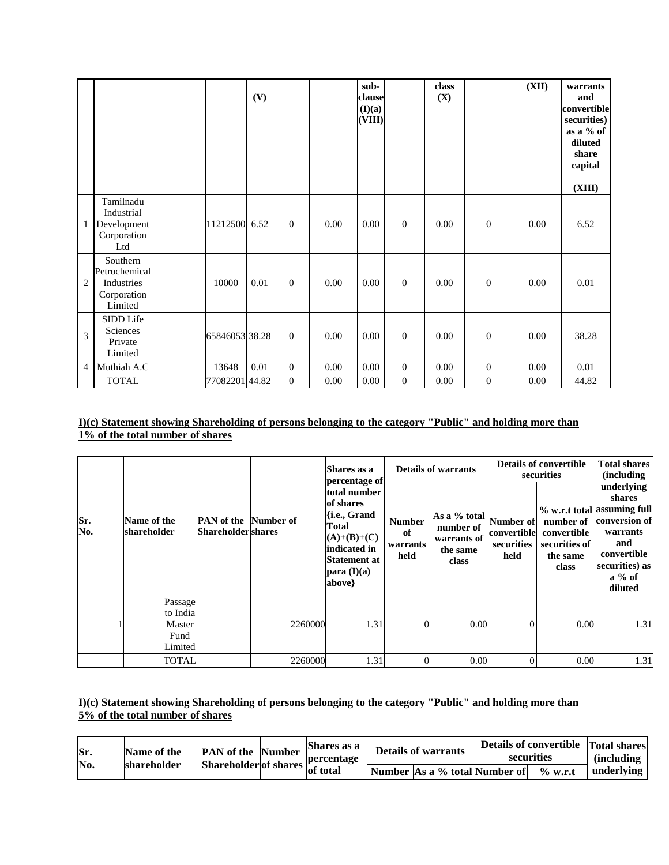|                |                                                                   |                | (V)  |                |      | sub-<br>clause<br>(I)(a)<br>(VIII) |                | class<br>(X) |                  | (XII) | warrants<br>and<br>convertible<br>securities)<br>as a % of<br>diluted<br>share<br>capital<br>(XIII) |
|----------------|-------------------------------------------------------------------|----------------|------|----------------|------|------------------------------------|----------------|--------------|------------------|-------|-----------------------------------------------------------------------------------------------------|
| 1              | Tamilnadu<br>Industrial<br>Development<br>Corporation<br>Ltd      | 11212500       | 6.52 | $\overline{0}$ | 0.00 | 0.00                               | $\mathbf{0}$   | 0.00         | $\boldsymbol{0}$ | 0.00  | 6.52                                                                                                |
| $\overline{2}$ | Southern<br>Petrochemical<br>Industries<br>Corporation<br>Limited | 10000          | 0.01 | $\overline{0}$ | 0.00 | 0.00                               | $\mathbf{0}$   | 0.00         | $\boldsymbol{0}$ | 0.00  | 0.01                                                                                                |
| 3              | SIDD Life<br>Sciences<br>Private<br>Limited                       | 65846053 38.28 |      | $\mathbf{0}$   | 0.00 | 0.00                               | $\overline{0}$ | 0.00         | $\theta$         | 0.00  | 38.28                                                                                               |
| $\overline{4}$ | Muthiah A.C                                                       | 13648          | 0.01 | $\overline{0}$ | 0.00 | 0.00                               | $\mathbf{0}$   | 0.00         | $\boldsymbol{0}$ | 0.00  | 0.01                                                                                                |
|                | <b>TOTAL</b>                                                      | 7708220144.82  |      | $\overline{0}$ | 0.00 | 0.00                               | $\mathbf{0}$   | 0.00         | $\boldsymbol{0}$ | 0.00  | 44.82                                                                                               |

#### **I)(c) Statement showing Shareholding of persons belonging to the category "Public" and holding more than 1% of the total number of shares**

|            |                               |                                                |           | Shares as a<br>percentage of                                                                                                   |                                         | <b>Details of warrants</b>                                    |                                                | <b>Details of convertible</b><br>securities       | <b>Total shares</b><br><i>(including)</i>                                                                                                                 |
|------------|-------------------------------|------------------------------------------------|-----------|--------------------------------------------------------------------------------------------------------------------------------|-----------------------------------------|---------------------------------------------------------------|------------------------------------------------|---------------------------------------------------|-----------------------------------------------------------------------------------------------------------------------------------------------------------|
| Sr.<br>No. | Name of the<br>shareholder    | <b>PAN</b> of the<br><b>Shareholder</b> shares | Number of | total number<br>of shares<br>{i.e., Grand<br>Total<br>$(A)+(B)+(C)$<br>indicated in<br>Statement at<br>para $(I)(a)$<br>above} | <b>Number</b><br>of<br>warrants<br>held | As a % total<br>number of<br>warrants of<br>the same<br>class | Number of<br>convertible<br>securities<br>held | convertible<br>securities of<br>the same<br>class | underlying<br>shares<br>% w.r.t total assuming full<br>number of conversion of<br>warrants<br>and<br>convertible<br>securities) as<br>$a\%$ of<br>diluted |
|            | Passage<br>to India<br>Master |                                                | 2260000   | 1.31                                                                                                                           |                                         | 0.00                                                          | $\Omega$                                       | 0.00                                              | 1.31                                                                                                                                                      |
|            | Fund<br>Limited               |                                                |           |                                                                                                                                |                                         |                                                               |                                                |                                                   |                                                                                                                                                           |
|            | <b>TOTAL</b>                  |                                                | 2260000   | 1.31                                                                                                                           |                                         | 0.00                                                          |                                                | 0.00                                              | 1.31                                                                                                                                                      |

### **I)(c) Statement showing Shareholding of persons belonging to the category "Public" and holding more than 5% of the total number of shares**

| Sr.<br>No. | Name of the<br>shareholder | <b>PAN</b> of the Number<br>Shareholder of shares $ P $ | Shares as a<br>percentage | <b>Details of warrants</b>    |  | securities | Details of convertible Total shares<br>(including |
|------------|----------------------------|---------------------------------------------------------|---------------------------|-------------------------------|--|------------|---------------------------------------------------|
|            |                            |                                                         | of total                  | Number As a % total Number of |  | $\%$ w.r.t | underlying                                        |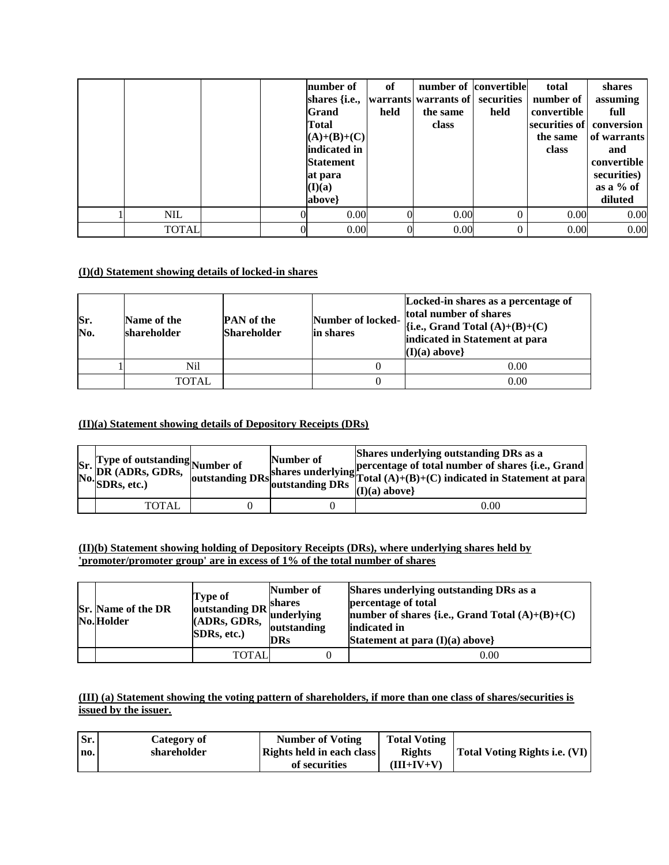|              |  | number of<br>shares {i.e.,  warrants warrants of   securities  <br><b>Grand</b><br>Total<br>$(A)+(B)+(C)$<br>indicated in<br><b>Statement</b><br>at para<br>(I)(a)<br>above} | of<br>held | number of convertible<br>the same<br>class | held     | total<br>number of<br>convertible<br>securities of conversion<br>the same<br>class | shares<br>assuming<br>full<br>of warrants<br>and<br>convertible<br>securities)<br>as a $%$ of<br>diluted |
|--------------|--|------------------------------------------------------------------------------------------------------------------------------------------------------------------------------|------------|--------------------------------------------|----------|------------------------------------------------------------------------------------|----------------------------------------------------------------------------------------------------------|
| <b>NIL</b>   |  | 0.00                                                                                                                                                                         |            | 0.00                                       | $\theta$ | 0.00                                                                               | 0.00                                                                                                     |
| <b>TOTAL</b> |  | 0.00                                                                                                                                                                         |            | 0.00                                       |          | 0.00                                                                               | 0.00                                                                                                     |

### **(I)(d) Statement showing details of locked-in shares**

| Sr.<br>No. | Name of the<br>shareholder | <b>PAN</b> of the<br><b>Shareholder</b> | Number of locked-<br>in shares | Locked-in shares as a percentage of<br>total number of shares<br>$\{i.e., Grand Total (A)+(B)+(C)\}$<br>indicated in Statement at para<br>$(I)(a)$ above} |
|------------|----------------------------|-----------------------------------------|--------------------------------|-----------------------------------------------------------------------------------------------------------------------------------------------------------|
|            | Ni1                        |                                         |                                | 0.00                                                                                                                                                      |
|            | TOTAL                      |                                         |                                | 0.00                                                                                                                                                      |

### **(II)(a) Statement showing details of Depository Receipts (DRs)**

| Sr. Type of outstanding<br>No. DR (ADRs, GDRs, outstanding<br>No. SDRs, etc.) | outstanding DRs <sup>3</sup> | Number of<br>loutstanding DRs | Shares underlying outstanding DRs as a<br>shares underlying percentage of total number of shares {i.e., Grand s<br>shares underlying Total $(A)+(B)+(C)$ indicated in Statement at para<br>$(I)(a)$ above} |
|-------------------------------------------------------------------------------|------------------------------|-------------------------------|------------------------------------------------------------------------------------------------------------------------------------------------------------------------------------------------------------|
| <b>TOTAL</b>                                                                  |                              |                               | 0.00                                                                                                                                                                                                       |

### **(II)(b) Statement showing holding of Depository Receipts (DRs), where underlying shares held by 'promoter/promoter group' are in excess of 1% of the total number of shares**

| <b>Sr.</b> Name of the DR<br>No.Holder | Type of<br>outstanding DR shares<br>(ADRs, GDRs,<br><b>SDRs, etc.)</b> | Number of<br>underlying<br>outstanding<br><b>DRs</b> | Shares underlying outstanding DRs as a<br>percentage of total<br>number of shares {i.e., Grand Total $(A)+(B)+(C)$<br>indicated in<br>Statement at para $(I)(a)$ above} |
|----------------------------------------|------------------------------------------------------------------------|------------------------------------------------------|-------------------------------------------------------------------------------------------------------------------------------------------------------------------------|
|                                        | TOTAL                                                                  |                                                      | 0.00                                                                                                                                                                    |

## **(III) (a) Statement showing the voting pattern of shareholders, if more than one class of shares/securities is issued by the issuer.**

| Sr. | Category of | <b>Number of Voting</b>          | <b>Total Voting</b> |                               |
|-----|-------------|----------------------------------|---------------------|-------------------------------|
| no. | shareholder | <b>Rights held in each class</b> | <b>Rights</b>       | Total Voting Rights i.e. (VI) |
|     |             | of securities                    | $(III+IV+V)$        |                               |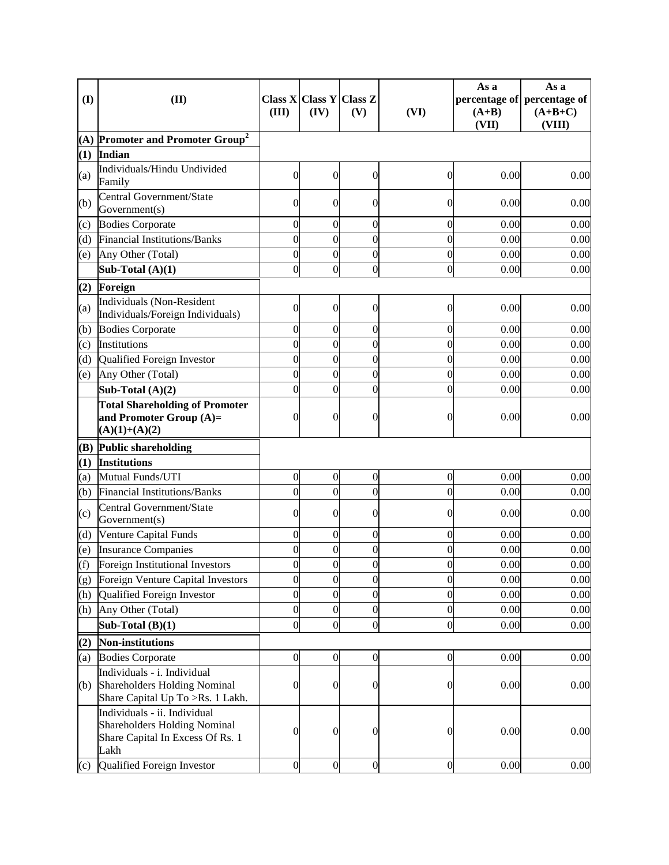| $\mathbf{I}$ | (II)                                                                                                     | (III)            | Class $X Class Y Class Z$<br>(IV) | (V)              | (VI)             | As a<br>$(A+B)$<br>(VII) | As a<br>percentage of percentage of<br>$(A+B+C)$<br>(VIII) |
|--------------|----------------------------------------------------------------------------------------------------------|------------------|-----------------------------------|------------------|------------------|--------------------------|------------------------------------------------------------|
| (A)          | <b>Promoter and Promoter Group<sup>2</sup></b>                                                           |                  |                                   |                  |                  |                          |                                                            |
| (1)          | Indian                                                                                                   |                  |                                   |                  |                  |                          |                                                            |
| (a)          | Individuals/Hindu Undivided<br>Family                                                                    | $\overline{0}$   | $\overline{0}$                    | $\overline{0}$   | $\boldsymbol{0}$ | 0.00                     | 0.00                                                       |
| (b)          | Central Government/State<br>Government(s)                                                                | $\overline{0}$   | $\Omega$                          | $\overline{0}$   | 0                | 0.00                     | 0.00                                                       |
| (c)          | <b>Bodies Corporate</b>                                                                                  | $\overline{0}$   | $\overline{0}$                    | $\overline{0}$   | 0                | 0.00                     | 0.00                                                       |
| (d)          | Financial Institutions/Banks                                                                             | $\overline{0}$   | $\mathbf{0}$                      | $\overline{0}$   | $\overline{0}$   | 0.00                     | 0.00                                                       |
| (e)          | Any Other (Total)                                                                                        | $\overline{0}$   | $\mathbf 0$                       | $\overline{0}$   | $\overline{0}$   | 0.00                     | 0.00                                                       |
|              | Sub-Total $(A)(1)$                                                                                       | $\overline{0}$   | $\overline{0}$                    | $\overline{0}$   | $\overline{0}$   | 0.00                     | 0.00                                                       |
| (2)          | Foreign                                                                                                  |                  |                                   |                  |                  |                          |                                                            |
| (a)          | Individuals (Non-Resident<br>Individuals/Foreign Individuals)                                            | $\overline{0}$   | $\Omega$                          | $\overline{0}$   | 0                | 0.00                     | 0.00                                                       |
| (b)          | <b>Bodies Corporate</b>                                                                                  | $\overline{0}$   | $\boldsymbol{0}$                  | $\overline{0}$   | $\overline{0}$   | 0.00                     | 0.00                                                       |
| (c)          | Institutions                                                                                             | $\overline{0}$   | $\mathbf{0}$                      | $\overline{0}$   | $\overline{0}$   | 0.00                     | 0.00                                                       |
| (d)          | Qualified Foreign Investor                                                                               | $\overline{0}$   | $\overline{0}$                    | $\overline{0}$   | $\overline{0}$   | 0.00                     | 0.00                                                       |
| (e)          | Any Other (Total)                                                                                        | $\theta$         | $\mathbf{0}$                      | $\overline{0}$   | $\overline{0}$   | 0.00                     | 0.00                                                       |
|              | Sub-Total $(A)(2)$                                                                                       | $\theta$         | $\theta$                          | $\overline{0}$   | $\overline{0}$   | 0.00                     | 0.00                                                       |
|              | <b>Total Shareholding of Promoter</b><br>and Promoter Group $(A)=$<br>$(A)(1)+(A)(2)$                    | $\overline{0}$   | $\overline{0}$                    | $\overline{0}$   | 0                | 0.00                     | 0.00                                                       |
| (B)          | <b>Public shareholding</b>                                                                               |                  |                                   |                  |                  |                          |                                                            |
| (1)          | <b>Institutions</b>                                                                                      |                  |                                   |                  |                  |                          |                                                            |
| (a)          | Mutual Funds/UTI                                                                                         | $\overline{0}$   | $\overline{0}$                    | $\overline{0}$   | $\boldsymbol{0}$ | 0.00                     | 0.00                                                       |
| (b)          | <b>Financial Institutions/Banks</b>                                                                      | $\overline{0}$   | $\overline{0}$                    | $\overline{0}$   | $\overline{0}$   | 0.00                     | 0.00                                                       |
| (c)          | Central Government/State<br>Government(s)                                                                | $\overline{0}$   | $\theta$                          | $\overline{0}$   | 0                | 0.00                     | 0.00                                                       |
| (d)          | Venture Capital Funds                                                                                    | $\overline{0}$   | $\mathbf{0}$                      | $\overline{0}$   | $\mathbf{0}$     | 0.00                     | 0.00                                                       |
| (e)          | <b>Insurance Companies</b>                                                                               | $\overline{0}$   | $\mathbf{0}$                      | $\overline{0}$   | $\overline{0}$   | 0.00                     | 0.00                                                       |
| (f)          | Foreign Institutional Investors                                                                          | $\Omega$         | $\theta$                          | $\Omega$         | $\overline{0}$   | 0.00                     | 0.00                                                       |
| (g)          | Foreign Venture Capital Investors                                                                        | $\overline{0}$   | $\mathbf 0$                       | $\overline{0}$   | $\mathbf{0}$     | 0.00                     | 0.00                                                       |
| (h)          | Qualified Foreign Investor                                                                               | $\overline{0}$   | $\mathbf 0$                       | $\overline{0}$   | $\overline{0}$   | 0.00                     | 0.00                                                       |
| (h)          | Any Other (Total)                                                                                        | $\boldsymbol{0}$ | $\mathbf 0$                       | $\overline{0}$   | $\overline{0}$   | 0.00                     | 0.00                                                       |
|              | Sub-Total $(B)(1)$                                                                                       | $\overline{0}$   | $\overline{0}$                    | $\overline{0}$   | $\overline{0}$   | 0.00                     | 0.00                                                       |
| (2)          | <b>Non-institutions</b>                                                                                  |                  |                                   |                  |                  |                          |                                                            |
| (a)          | <b>Bodies Corporate</b>                                                                                  | $\boldsymbol{0}$ | $\overline{0}$                    | $\boldsymbol{0}$ | $\boldsymbol{0}$ | 0.00                     | 0.00                                                       |
| (b)          | Individuals - i. Individual<br><b>Shareholders Holding Nominal</b><br>Share Capital Up To >Rs. 1 Lakh.   | $\boldsymbol{0}$ | $\overline{0}$                    | $\overline{0}$   | $\boldsymbol{0}$ | 0.00                     | 0.00                                                       |
|              | Individuals - ii. Individual<br>Shareholders Holding Nominal<br>Share Capital In Excess Of Rs. 1<br>Lakh | $\boldsymbol{0}$ | $\boldsymbol{0}$                  | $\overline{0}$   | $\boldsymbol{0}$ | 0.00                     | 0.00                                                       |
| (c)          | Qualified Foreign Investor                                                                               | $\mathbf{0}$     | $\overline{0}$                    | $\boldsymbol{0}$ | $\boldsymbol{0}$ | 0.00                     | 0.00                                                       |